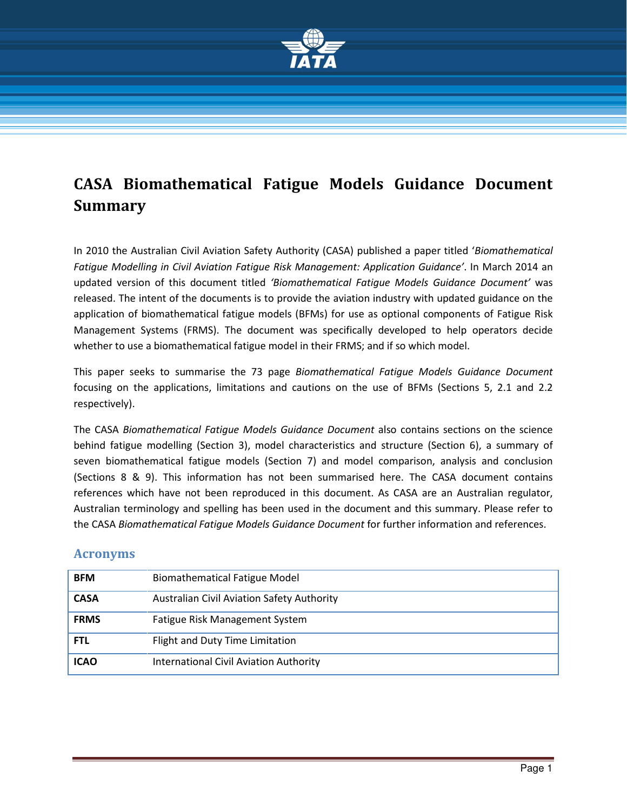

# CASA Biomathematical Fatigue Models Guidance Document Summary

In 2010 the Australian Civil Aviation Safety Authority (CASA) published a paper titled 'Biomathematical Fatigue Modelling in Civil Aviation Fatigue Risk Management: Application Guidance'. In March 2014 an updated version of this document titled 'Biomathematical Fatigue Models Guidance Document' was released. The intent of the documents is to provide the aviation industry with updated guidance on the application of biomathematical fatigue models (BFMs) for use as optional components of Fatigue Risk Management Systems (FRMS). The document was specifically developed to help operators decide whether to use a biomathematical fatigue model in their FRMS; and if so which model.

This paper seeks to summarise the 73 page Biomathematical Fatigue Models Guidance Document focusing on the applications, limitations and cautions on the use of BFMs (Sections 5, 2.1 and 2.2 respectively).

The CASA Biomathematical Fatigue Models Guidance Document also contains sections on the science behind fatigue modelling (Section 3), model characteristics and structure (Section 6), a summary of seven biomathematical fatigue models (Section 7) and model comparison, analysis and conclusion (Sections 8 & 9). This information has not been summarised here. The CASA document contains references which have not been reproduced in this document. As CASA are an Australian regulator, Australian terminology and spelling has been used in the document and this summary. Please refer to the CASA Biomathematical Fatigue Models Guidance Document for further information and references.

#### Acronyms

| <b>BFM</b>  | <b>Biomathematical Fatigue Model</b>          |
|-------------|-----------------------------------------------|
| <b>CASA</b> | Australian Civil Aviation Safety Authority    |
| <b>FRMS</b> | Fatigue Risk Management System                |
| <b>FTL</b>  | Flight and Duty Time Limitation               |
| <b>ICAO</b> | <b>International Civil Aviation Authority</b> |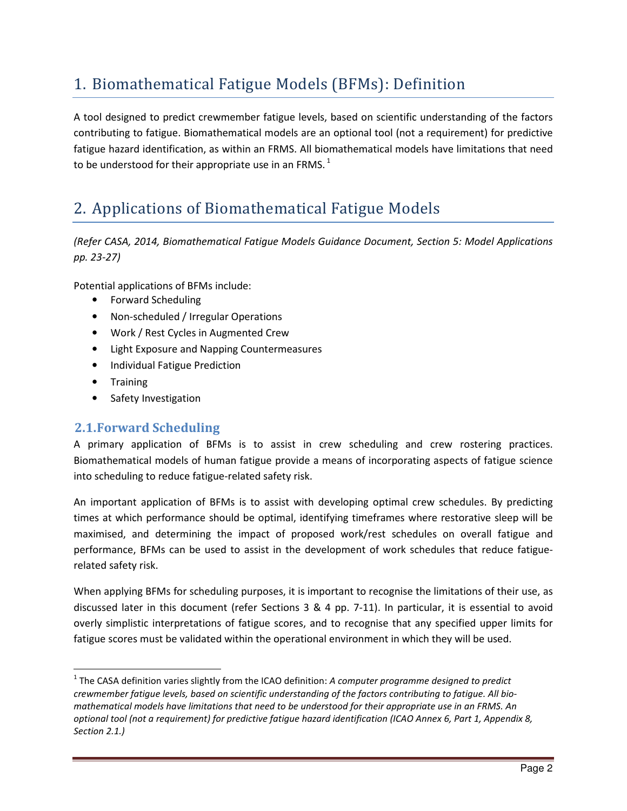# 1. Biomathematical Fatigue Models (BFMs): Definition

A tool designed to predict crewmember fatigue levels, based on scientific understanding of the factors contributing to fatigue. Biomathematical models are an optional tool (not a requirement) for predictive fatigue hazard identification, as within an FRMS. All biomathematical models have limitations that need to be understood for their appropriate use in an FRMS. $<sup>1</sup>$ </sup>

# 2. Applications of Biomathematical Fatigue Models

(Refer CASA, 2014, Biomathematical Fatigue Models Guidance Document, Section 5: Model Applications pp. 23-27)

Potential applications of BFMs include:

- Forward Scheduling
- Non-scheduled / Irregular Operations
- Work / Rest Cycles in Augmented Crew
- Light Exposure and Napping Countermeasures
- Individual Fatigue Prediction
- Training

 $\overline{a}$ 

• Safety Investigation

#### 2.1.Forward Scheduling

A primary application of BFMs is to assist in crew scheduling and crew rostering practices. Biomathematical models of human fatigue provide a means of incorporating aspects of fatigue science into scheduling to reduce fatigue-related safety risk.

An important application of BFMs is to assist with developing optimal crew schedules. By predicting times at which performance should be optimal, identifying timeframes where restorative sleep will be maximised, and determining the impact of proposed work/rest schedules on overall fatigue and performance, BFMs can be used to assist in the development of work schedules that reduce fatiguerelated safety risk.

When applying BFMs for scheduling purposes, it is important to recognise the limitations of their use, as discussed later in this document (refer Sections 3 & 4 pp. 7-11). In particular, it is essential to avoid overly simplistic interpretations of fatigue scores, and to recognise that any specified upper limits for fatigue scores must be validated within the operational environment in which they will be used.

<sup>&</sup>lt;sup>1</sup> The CASA definition varies slightly from the ICAO definition: A computer programme designed to predict crewmember fatigue levels, based on scientific understanding of the factors contributing to fatigue. All biomathematical models have limitations that need to be understood for their appropriate use in an FRMS. An optional tool (not a requirement) for predictive fatigue hazard identification (ICAO Annex 6, Part 1, Appendix 8, Section 2.1.)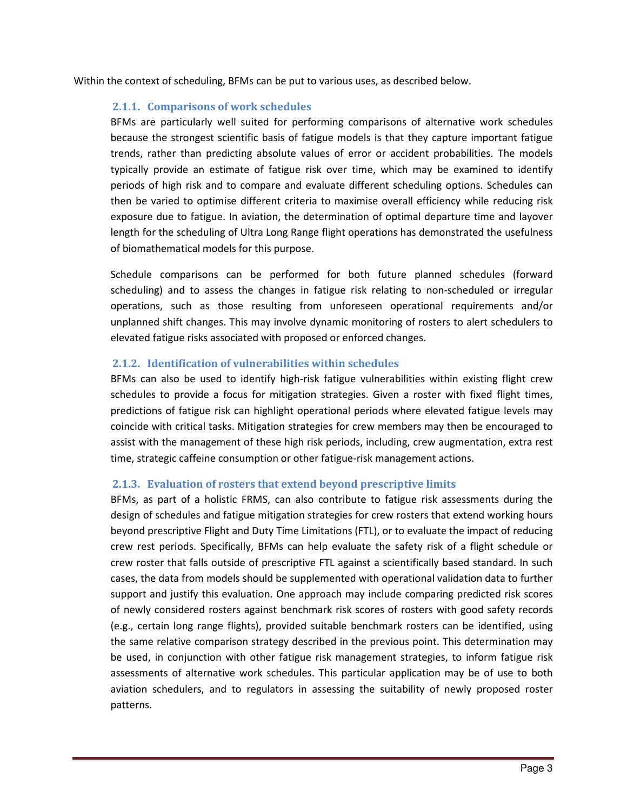Within the context of scheduling, BFMs can be put to various uses, as described below.

#### 2.1.1. Comparisons of work schedules

BFMs are particularly well suited for performing comparisons of alternative work schedules because the strongest scientific basis of fatigue models is that they capture important fatigue trends, rather than predicting absolute values of error or accident probabilities. The models typically provide an estimate of fatigue risk over time, which may be examined to identify periods of high risk and to compare and evaluate different scheduling options. Schedules can then be varied to optimise different criteria to maximise overall efficiency while reducing risk exposure due to fatigue. In aviation, the determination of optimal departure time and layover length for the scheduling of Ultra Long Range flight operations has demonstrated the usefulness of biomathematical models for this purpose.

Schedule comparisons can be performed for both future planned schedules (forward scheduling) and to assess the changes in fatigue risk relating to non-scheduled or irregular operations, such as those resulting from unforeseen operational requirements and/or unplanned shift changes. This may involve dynamic monitoring of rosters to alert schedulers to elevated fatigue risks associated with proposed or enforced changes.

#### 2.1.2. Identification of vulnerabilities within schedules

BFMs can also be used to identify high-risk fatigue vulnerabilities within existing flight crew schedules to provide a focus for mitigation strategies. Given a roster with fixed flight times, predictions of fatigue risk can highlight operational periods where elevated fatigue levels may coincide with critical tasks. Mitigation strategies for crew members may then be encouraged to assist with the management of these high risk periods, including, crew augmentation, extra rest time, strategic caffeine consumption or other fatigue-risk management actions.

#### 2.1.3. Evaluation of rosters that extend beyond prescriptive limits

BFMs, as part of a holistic FRMS, can also contribute to fatigue risk assessments during the design of schedules and fatigue mitigation strategies for crew rosters that extend working hours beyond prescriptive Flight and Duty Time Limitations (FTL), or to evaluate the impact of reducing crew rest periods. Specifically, BFMs can help evaluate the safety risk of a flight schedule or crew roster that falls outside of prescriptive FTL against a scientifically based standard. In such cases, the data from models should be supplemented with operational validation data to further support and justify this evaluation. One approach may include comparing predicted risk scores of newly considered rosters against benchmark risk scores of rosters with good safety records (e.g., certain long range flights), provided suitable benchmark rosters can be identified, using the same relative comparison strategy described in the previous point. This determination may be used, in conjunction with other fatigue risk management strategies, to inform fatigue risk assessments of alternative work schedules. This particular application may be of use to both aviation schedulers, and to regulators in assessing the suitability of newly proposed roster patterns.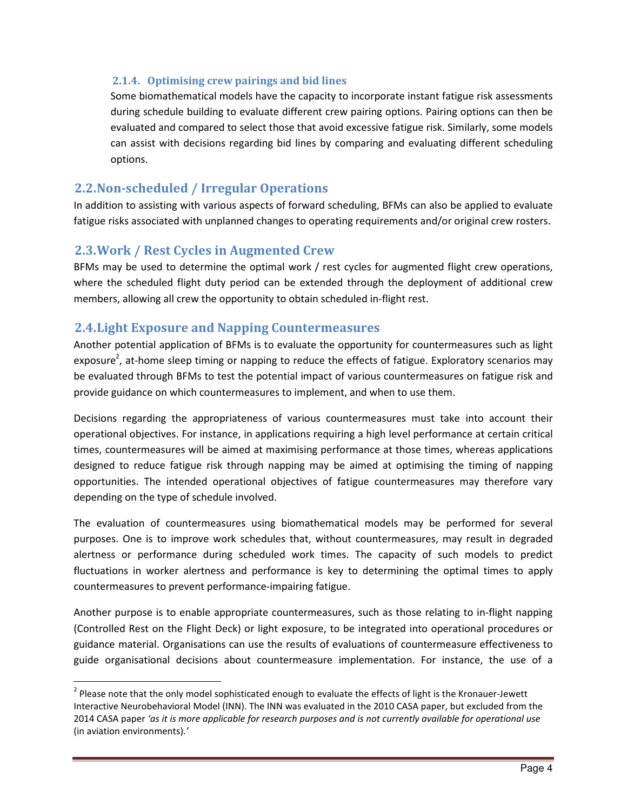#### 2.1.4. Optimising crew pairings and bid lines

Some biomathematical models have the capacity to incorporate instant fatigue risk assessments during schedule building to evaluate different crew pairing options. Pairing options can then be evaluated and compared to select those that avoid excessive fatigue risk. Similarly, some models can assist with decisions regarding bid lines by comparing and evaluating different scheduling options.

#### 2.2.Non-scheduled / Irregular Operations

In addition to assisting with various aspects of forward scheduling, BFMs can also be applied to evaluate fatigue risks associated with unplanned changes to operating requirements and/or original crew rosters.

#### 2.3.Work / Rest Cycles in Augmented Crew

 $\overline{\phantom{a}}$ 

BFMs may be used to determine the optimal work / rest cycles for augmented flight crew operations, where the scheduled flight duty period can be extended through the deployment of additional crew members, allowing all crew the opportunity to obtain scheduled in-flight rest.

#### 2.4.Light Exposure and Napping Countermeasures

Another potential application of BFMs is to evaluate the opportunity for countermeasures such as light exposure<sup>2</sup>, at-home sleep timing or napping to reduce the effects of fatigue. Exploratory scenarios may be evaluated through BFMs to test the potential impact of various countermeasures on fatigue risk and provide guidance on which countermeasures to implement, and when to use them.

Decisions regarding the appropriateness of various countermeasures must take into account their operational objectives. For instance, in applications requiring a high level performance at certain critical times, countermeasures will be aimed at maximising performance at those times, whereas applications designed to reduce fatigue risk through napping may be aimed at optimising the timing of napping opportunities. The intended operational objectives of fatigue countermeasures may therefore vary depending on the type of schedule involved.

The evaluation of countermeasures using biomathematical models may be performed for several purposes. One is to improve work schedules that, without countermeasures, may result in degraded alertness or performance during scheduled work times. The capacity of such models to predict fluctuations in worker alertness and performance is key to determining the optimal times to apply countermeasures to prevent performance-impairing fatigue.

Another purpose is to enable appropriate countermeasures, such as those relating to in-flight napping (Controlled Rest on the Flight Deck) or light exposure, to be integrated into operational procedures or guidance material. Organisations can use the results of evaluations of countermeasure effectiveness to guide organisational decisions about countermeasure implementation. For instance, the use of a

 $2$  Please note that the only model sophisticated enough to evaluate the effects of light is the Kronauer-Jewett Interactive Neurobehavioral Model (INN). The INN was evaluated in the 2010 CASA paper, but excluded from the 2014 CASA paper 'as it is more applicable for research purposes and is not currently available for operational use (in aviation environments).'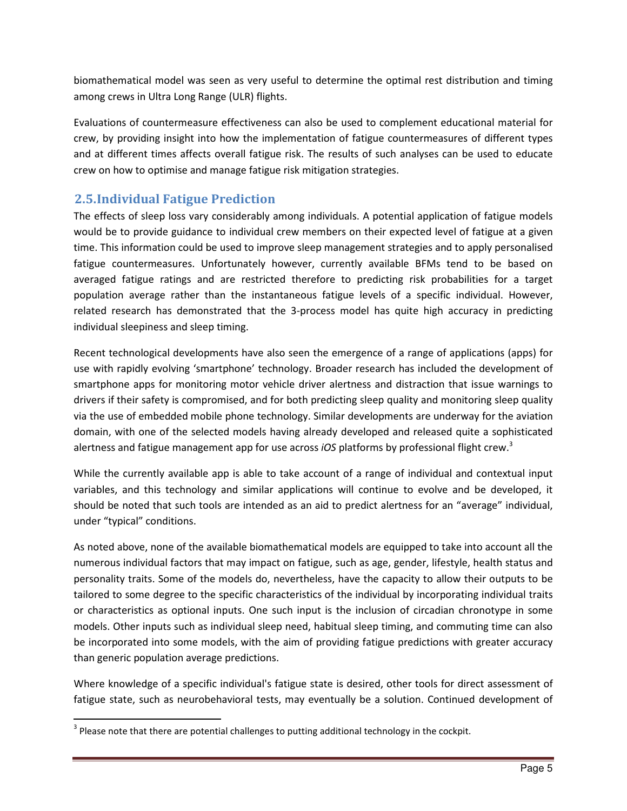biomathematical model was seen as very useful to determine the optimal rest distribution and timing among crews in Ultra Long Range (ULR) flights.

Evaluations of countermeasure effectiveness can also be used to complement educational material for crew, by providing insight into how the implementation of fatigue countermeasures of different types and at different times affects overall fatigue risk. The results of such analyses can be used to educate crew on how to optimise and manage fatigue risk mitigation strategies.

## 2.5.Individual Fatigue Prediction

The effects of sleep loss vary considerably among individuals. A potential application of fatigue models would be to provide guidance to individual crew members on their expected level of fatigue at a given time. This information could be used to improve sleep management strategies and to apply personalised fatigue countermeasures. Unfortunately however, currently available BFMs tend to be based on averaged fatigue ratings and are restricted therefore to predicting risk probabilities for a target population average rather than the instantaneous fatigue levels of a specific individual. However, related research has demonstrated that the 3-process model has quite high accuracy in predicting individual sleepiness and sleep timing.

Recent technological developments have also seen the emergence of a range of applications (apps) for use with rapidly evolving 'smartphone' technology. Broader research has included the development of smartphone apps for monitoring motor vehicle driver alertness and distraction that issue warnings to drivers if their safety is compromised, and for both predicting sleep quality and monitoring sleep quality via the use of embedded mobile phone technology. Similar developments are underway for the aviation domain, with one of the selected models having already developed and released quite a sophisticated alertness and fatigue management app for use across *iOS* platforms by professional flight crew.<sup>3</sup>

While the currently available app is able to take account of a range of individual and contextual input variables, and this technology and similar applications will continue to evolve and be developed, it should be noted that such tools are intended as an aid to predict alertness for an "average" individual, under "typical" conditions.

As noted above, none of the available biomathematical models are equipped to take into account all the numerous individual factors that may impact on fatigue, such as age, gender, lifestyle, health status and personality traits. Some of the models do, nevertheless, have the capacity to allow their outputs to be tailored to some degree to the specific characteristics of the individual by incorporating individual traits or characteristics as optional inputs. One such input is the inclusion of circadian chronotype in some models. Other inputs such as individual sleep need, habitual sleep timing, and commuting time can also be incorporated into some models, with the aim of providing fatigue predictions with greater accuracy than generic population average predictions.

Where knowledge of a specific individual's fatigue state is desired, other tools for direct assessment of fatigue state, such as neurobehavioral tests, may eventually be a solution. Continued development of

 $\overline{\phantom{0}}$ 

 $3$  Please note that there are potential challenges to putting additional technology in the cockpit.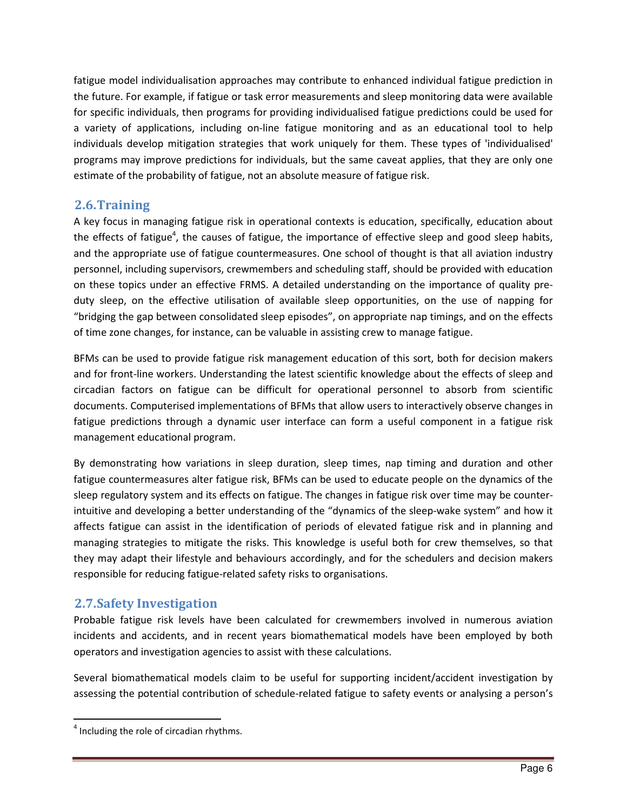fatigue model individualisation approaches may contribute to enhanced individual fatigue prediction in the future. For example, if fatigue or task error measurements and sleep monitoring data were available for specific individuals, then programs for providing individualised fatigue predictions could be used for a variety of applications, including on-line fatigue monitoring and as an educational tool to help individuals develop mitigation strategies that work uniquely for them. These types of 'individualised' programs may improve predictions for individuals, but the same caveat applies, that they are only one estimate of the probability of fatigue, not an absolute measure of fatigue risk.

#### 2.6.Training

A key focus in managing fatigue risk in operational contexts is education, specifically, education about the effects of fatigue<sup>4</sup>, the causes of fatigue, the importance of effective sleep and good sleep habits, and the appropriate use of fatigue countermeasures. One school of thought is that all aviation industry personnel, including supervisors, crewmembers and scheduling staff, should be provided with education on these topics under an effective FRMS. A detailed understanding on the importance of quality preduty sleep, on the effective utilisation of available sleep opportunities, on the use of napping for "bridging the gap between consolidated sleep episodes", on appropriate nap timings, and on the effects of time zone changes, for instance, can be valuable in assisting crew to manage fatigue.

BFMs can be used to provide fatigue risk management education of this sort, both for decision makers and for front-line workers. Understanding the latest scientific knowledge about the effects of sleep and circadian factors on fatigue can be difficult for operational personnel to absorb from scientific documents. Computerised implementations of BFMs that allow users to interactively observe changes in fatigue predictions through a dynamic user interface can form a useful component in a fatigue risk management educational program.

By demonstrating how variations in sleep duration, sleep times, nap timing and duration and other fatigue countermeasures alter fatigue risk, BFMs can be used to educate people on the dynamics of the sleep regulatory system and its effects on fatigue. The changes in fatigue risk over time may be counterintuitive and developing a better understanding of the "dynamics of the sleep-wake system" and how it affects fatigue can assist in the identification of periods of elevated fatigue risk and in planning and managing strategies to mitigate the risks. This knowledge is useful both for crew themselves, so that they may adapt their lifestyle and behaviours accordingly, and for the schedulers and decision makers responsible for reducing fatigue-related safety risks to organisations.

### 2.7.Safety Investigation

Probable fatigue risk levels have been calculated for crewmembers involved in numerous aviation incidents and accidents, and in recent years biomathematical models have been employed by both operators and investigation agencies to assist with these calculations.

Several biomathematical models claim to be useful for supporting incident/accident investigation by assessing the potential contribution of schedule-related fatigue to safety events or analysing a person's

 $<sup>4</sup>$  Including the role of circadian rhythms.</sup>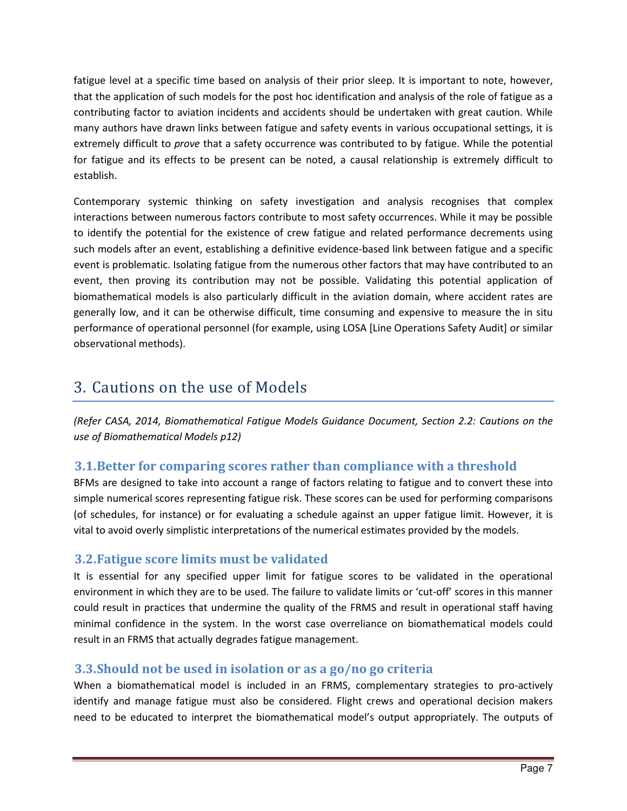fatigue level at a specific time based on analysis of their prior sleep. It is important to note, however, that the application of such models for the post hoc identification and analysis of the role of fatigue as a contributing factor to aviation incidents and accidents should be undertaken with great caution. While many authors have drawn links between fatigue and safety events in various occupational settings, it is extremely difficult to *prove* that a safety occurrence was contributed to by fatigue. While the potential for fatigue and its effects to be present can be noted, a causal relationship is extremely difficult to establish.

Contemporary systemic thinking on safety investigation and analysis recognises that complex interactions between numerous factors contribute to most safety occurrences. While it may be possible to identify the potential for the existence of crew fatigue and related performance decrements using such models after an event, establishing a definitive evidence-based link between fatigue and a specific event is problematic. Isolating fatigue from the numerous other factors that may have contributed to an event, then proving its contribution may not be possible. Validating this potential application of biomathematical models is also particularly difficult in the aviation domain, where accident rates are generally low, and it can be otherwise difficult, time consuming and expensive to measure the in situ performance of operational personnel (for example, using LOSA [Line Operations Safety Audit] or similar observational methods).

## 3. Cautions on the use of Models

(Refer CASA, 2014, Biomathematical Fatigue Models Guidance Document, Section 2.2: Cautions on the use of Biomathematical Models p12)

### 3.1.Better for comparing scores rather than compliance with a threshold

BFMs are designed to take into account a range of factors relating to fatigue and to convert these into simple numerical scores representing fatigue risk. These scores can be used for performing comparisons (of schedules, for instance) or for evaluating a schedule against an upper fatigue limit. However, it is vital to avoid overly simplistic interpretations of the numerical estimates provided by the models.

### 3.2.Fatigue score limits must be validated

It is essential for any specified upper limit for fatigue scores to be validated in the operational environment in which they are to be used. The failure to validate limits or 'cut-off' scores in this manner could result in practices that undermine the quality of the FRMS and result in operational staff having minimal confidence in the system. In the worst case overreliance on biomathematical models could result in an FRMS that actually degrades fatigue management.

### 3.3.Should not be used in isolation or as a go/no go criteria

When a biomathematical model is included in an FRMS, complementary strategies to pro-actively identify and manage fatigue must also be considered. Flight crews and operational decision makers need to be educated to interpret the biomathematical model's output appropriately. The outputs of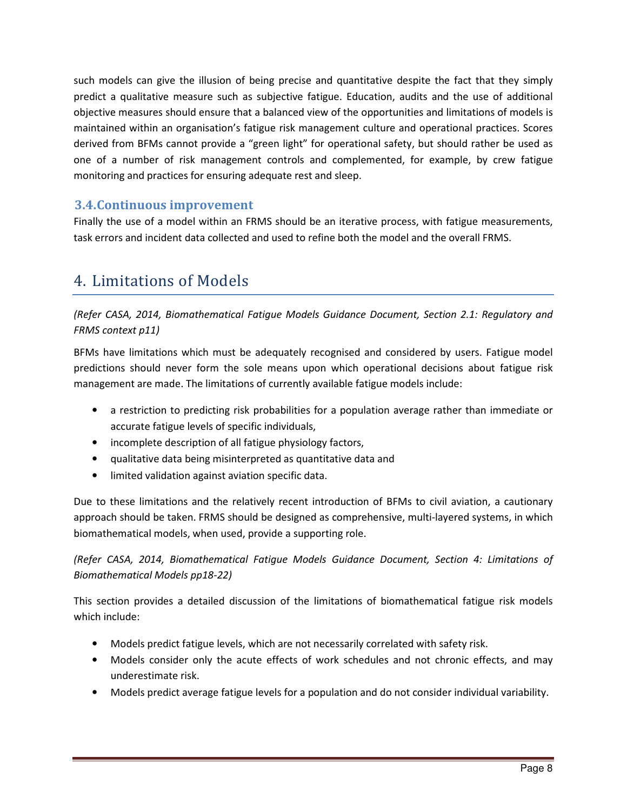such models can give the illusion of being precise and quantitative despite the fact that they simply predict a qualitative measure such as subjective fatigue. Education, audits and the use of additional objective measures should ensure that a balanced view of the opportunities and limitations of models is maintained within an organisation's fatigue risk management culture and operational practices. Scores derived from BFMs cannot provide a "green light" for operational safety, but should rather be used as one of a number of risk management controls and complemented, for example, by crew fatigue monitoring and practices for ensuring adequate rest and sleep.

#### 3.4.Continuous improvement

Finally the use of a model within an FRMS should be an iterative process, with fatigue measurements, task errors and incident data collected and used to refine both the model and the overall FRMS.

## 4. Limitations of Models

(Refer CASA, 2014, Biomathematical Fatigue Models Guidance Document, Section 2.1: Regulatory and FRMS context p11)

BFMs have limitations which must be adequately recognised and considered by users. Fatigue model predictions should never form the sole means upon which operational decisions about fatigue risk management are made. The limitations of currently available fatigue models include:

- a restriction to predicting risk probabilities for a population average rather than immediate or accurate fatigue levels of specific individuals,
- incomplete description of all fatigue physiology factors,
- qualitative data being misinterpreted as quantitative data and
- limited validation against aviation specific data.

Due to these limitations and the relatively recent introduction of BFMs to civil aviation, a cautionary approach should be taken. FRMS should be designed as comprehensive, multi-layered systems, in which biomathematical models, when used, provide a supporting role.

(Refer CASA, 2014, Biomathematical Fatigue Models Guidance Document, Section 4: Limitations of Biomathematical Models pp18-22)

This section provides a detailed discussion of the limitations of biomathematical fatigue risk models which include:

- Models predict fatigue levels, which are not necessarily correlated with safety risk.
- Models consider only the acute effects of work schedules and not chronic effects, and may underestimate risk.
- Models predict average fatigue levels for a population and do not consider individual variability.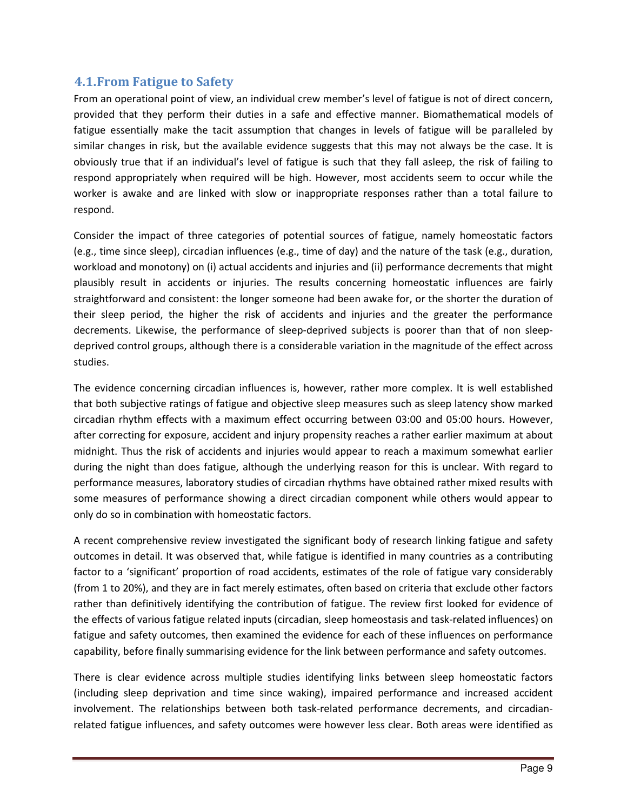#### 4.1.From Fatigue to Safety

From an operational point of view, an individual crew member's level of fatigue is not of direct concern, provided that they perform their duties in a safe and effective manner. Biomathematical models of fatigue essentially make the tacit assumption that changes in levels of fatigue will be paralleled by similar changes in risk, but the available evidence suggests that this may not always be the case. It is obviously true that if an individual's level of fatigue is such that they fall asleep, the risk of failing to respond appropriately when required will be high. However, most accidents seem to occur while the worker is awake and are linked with slow or inappropriate responses rather than a total failure to respond.

Consider the impact of three categories of potential sources of fatigue, namely homeostatic factors (e.g., time since sleep), circadian influences (e.g., time of day) and the nature of the task (e.g., duration, workload and monotony) on (i) actual accidents and injuries and (ii) performance decrements that might plausibly result in accidents or injuries. The results concerning homeostatic influences are fairly straightforward and consistent: the longer someone had been awake for, or the shorter the duration of their sleep period, the higher the risk of accidents and injuries and the greater the performance decrements. Likewise, the performance of sleep-deprived subjects is poorer than that of non sleepdeprived control groups, although there is a considerable variation in the magnitude of the effect across studies.

The evidence concerning circadian influences is, however, rather more complex. It is well established that both subjective ratings of fatigue and objective sleep measures such as sleep latency show marked circadian rhythm effects with a maximum effect occurring between 03:00 and 05:00 hours. However, after correcting for exposure, accident and injury propensity reaches a rather earlier maximum at about midnight. Thus the risk of accidents and injuries would appear to reach a maximum somewhat earlier during the night than does fatigue, although the underlying reason for this is unclear. With regard to performance measures, laboratory studies of circadian rhythms have obtained rather mixed results with some measures of performance showing a direct circadian component while others would appear to only do so in combination with homeostatic factors.

A recent comprehensive review investigated the significant body of research linking fatigue and safety outcomes in detail. It was observed that, while fatigue is identified in many countries as a contributing factor to a 'significant' proportion of road accidents, estimates of the role of fatigue vary considerably (from 1 to 20%), and they are in fact merely estimates, often based on criteria that exclude other factors rather than definitively identifying the contribution of fatigue. The review first looked for evidence of the effects of various fatigue related inputs (circadian, sleep homeostasis and task-related influences) on fatigue and safety outcomes, then examined the evidence for each of these influences on performance capability, before finally summarising evidence for the link between performance and safety outcomes.

There is clear evidence across multiple studies identifying links between sleep homeostatic factors (including sleep deprivation and time since waking), impaired performance and increased accident involvement. The relationships between both task-related performance decrements, and circadianrelated fatigue influences, and safety outcomes were however less clear. Both areas were identified as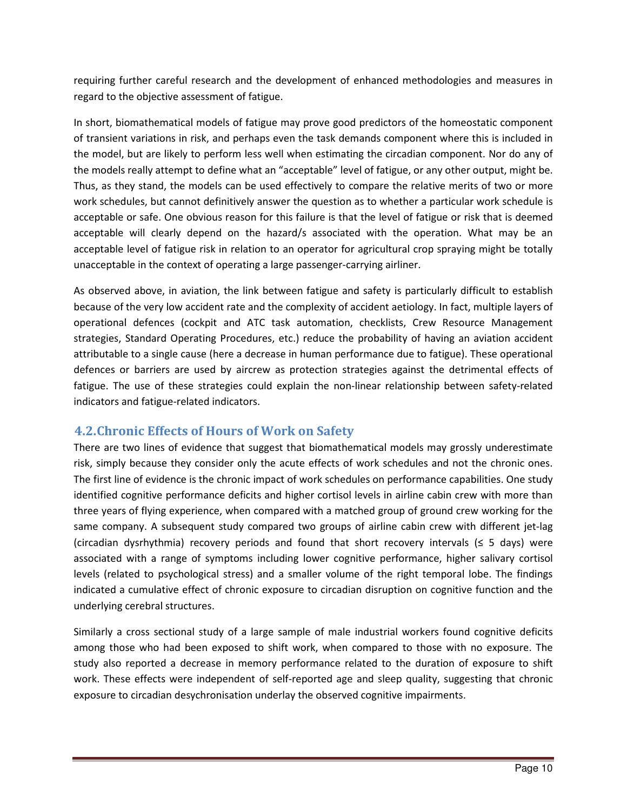requiring further careful research and the development of enhanced methodologies and measures in regard to the objective assessment of fatigue.

In short, biomathematical models of fatigue may prove good predictors of the homeostatic component of transient variations in risk, and perhaps even the task demands component where this is included in the model, but are likely to perform less well when estimating the circadian component. Nor do any of the models really attempt to define what an "acceptable" level of fatigue, or any other output, might be. Thus, as they stand, the models can be used effectively to compare the relative merits of two or more work schedules, but cannot definitively answer the question as to whether a particular work schedule is acceptable or safe. One obvious reason for this failure is that the level of fatigue or risk that is deemed acceptable will clearly depend on the hazard/s associated with the operation. What may be an acceptable level of fatigue risk in relation to an operator for agricultural crop spraying might be totally unacceptable in the context of operating a large passenger-carrying airliner.

As observed above, in aviation, the link between fatigue and safety is particularly difficult to establish because of the very low accident rate and the complexity of accident aetiology. In fact, multiple layers of operational defences (cockpit and ATC task automation, checklists, Crew Resource Management strategies, Standard Operating Procedures, etc.) reduce the probability of having an aviation accident attributable to a single cause (here a decrease in human performance due to fatigue). These operational defences or barriers are used by aircrew as protection strategies against the detrimental effects of fatigue. The use of these strategies could explain the non-linear relationship between safety-related indicators and fatigue-related indicators.

### 4.2.Chronic Effects of Hours of Work on Safety

There are two lines of evidence that suggest that biomathematical models may grossly underestimate risk, simply because they consider only the acute effects of work schedules and not the chronic ones. The first line of evidence is the chronic impact of work schedules on performance capabilities. One study identified cognitive performance deficits and higher cortisol levels in airline cabin crew with more than three years of flying experience, when compared with a matched group of ground crew working for the same company. A subsequent study compared two groups of airline cabin crew with different jet-lag (circadian dysrhythmia) recovery periods and found that short recovery intervals (≤ 5 days) were associated with a range of symptoms including lower cognitive performance, higher salivary cortisol levels (related to psychological stress) and a smaller volume of the right temporal lobe. The findings indicated a cumulative effect of chronic exposure to circadian disruption on cognitive function and the underlying cerebral structures.

Similarly a cross sectional study of a large sample of male industrial workers found cognitive deficits among those who had been exposed to shift work, when compared to those with no exposure. The study also reported a decrease in memory performance related to the duration of exposure to shift work. These effects were independent of self-reported age and sleep quality, suggesting that chronic exposure to circadian desychronisation underlay the observed cognitive impairments.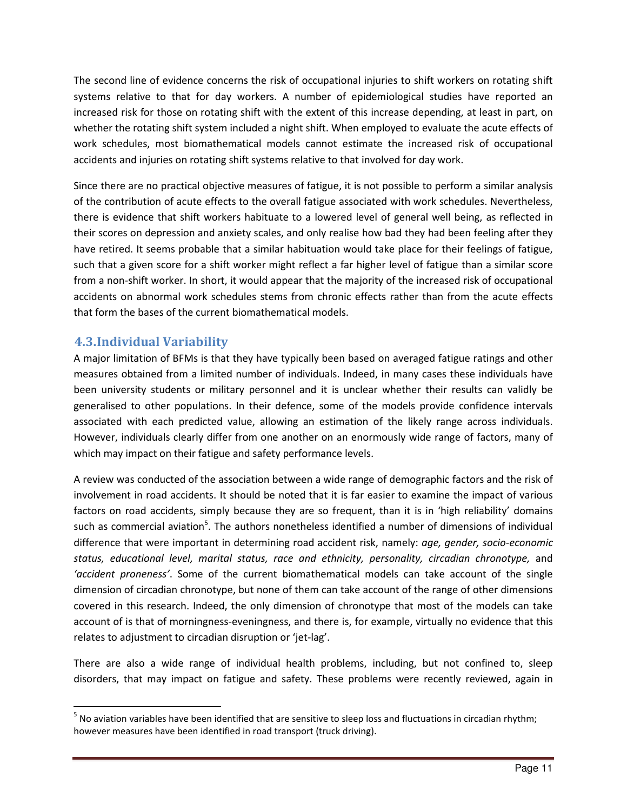The second line of evidence concerns the risk of occupational injuries to shift workers on rotating shift systems relative to that for day workers. A number of epidemiological studies have reported an increased risk for those on rotating shift with the extent of this increase depending, at least in part, on whether the rotating shift system included a night shift. When employed to evaluate the acute effects of work schedules, most biomathematical models cannot estimate the increased risk of occupational accidents and injuries on rotating shift systems relative to that involved for day work.

Since there are no practical objective measures of fatigue, it is not possible to perform a similar analysis of the contribution of acute effects to the overall fatigue associated with work schedules. Nevertheless, there is evidence that shift workers habituate to a lowered level of general well being, as reflected in their scores on depression and anxiety scales, and only realise how bad they had been feeling after they have retired. It seems probable that a similar habituation would take place for their feelings of fatigue, such that a given score for a shift worker might reflect a far higher level of fatigue than a similar score from a non-shift worker. In short, it would appear that the majority of the increased risk of occupational accidents on abnormal work schedules stems from chronic effects rather than from the acute effects that form the bases of the current biomathematical models.

### 4.3.Individual Variability

l

A major limitation of BFMs is that they have typically been based on averaged fatigue ratings and other measures obtained from a limited number of individuals. Indeed, in many cases these individuals have been university students or military personnel and it is unclear whether their results can validly be generalised to other populations. In their defence, some of the models provide confidence intervals associated with each predicted value, allowing an estimation of the likely range across individuals. However, individuals clearly differ from one another on an enormously wide range of factors, many of which may impact on their fatigue and safety performance levels.

A review was conducted of the association between a wide range of demographic factors and the risk of involvement in road accidents. It should be noted that it is far easier to examine the impact of various factors on road accidents, simply because they are so frequent, than it is in 'high reliability' domains such as commercial aviation<sup>5</sup>. The authors nonetheless identified a number of dimensions of individual difference that were important in determining road accident risk, namely: age, gender, socio-economic status, educational level, marital status, race and ethnicity, personality, circadian chronotype, and 'accident proneness'. Some of the current biomathematical models can take account of the single dimension of circadian chronotype, but none of them can take account of the range of other dimensions covered in this research. Indeed, the only dimension of chronotype that most of the models can take account of is that of morningness-eveningness, and there is, for example, virtually no evidence that this relates to adjustment to circadian disruption or 'jet-lag'.

There are also a wide range of individual health problems, including, but not confined to, sleep disorders, that may impact on fatigue and safety. These problems were recently reviewed, again in

<sup>&</sup>lt;sup>5</sup> No aviation variables have been identified that are sensitive to sleep loss and fluctuations in circadian rhythm; however measures have been identified in road transport (truck driving).